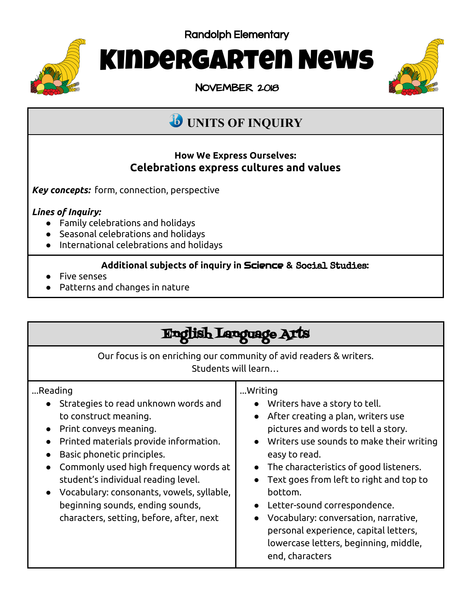Randolph Elementary



# Kindergarten News

NOVEMBER 2018



## **UNITS OF INQUIRY**

#### **How We Express Ourselves: Celebrations express cultures and values**

*Key concepts:* form, connection, perspective

#### *Lines of Inquiry:*

- Family celebrations and holidays
- Seasonal celebrations and holidays
- International celebrations and holidays

#### **Additional subjects of inquiry in** Science **&** Social Studies**:**

- Five senses
- Patterns and changes in nature

| Language 2                                                                                                                                                                                                                                                                                                                                                                                           |                                                                                                                                                                                                                                                                                                                                                                                                                                                                   |
|------------------------------------------------------------------------------------------------------------------------------------------------------------------------------------------------------------------------------------------------------------------------------------------------------------------------------------------------------------------------------------------------------|-------------------------------------------------------------------------------------------------------------------------------------------------------------------------------------------------------------------------------------------------------------------------------------------------------------------------------------------------------------------------------------------------------------------------------------------------------------------|
| Our focus is on enriching our community of avid readers & writers.<br>Students will learn                                                                                                                                                                                                                                                                                                            |                                                                                                                                                                                                                                                                                                                                                                                                                                                                   |
| Reading<br>Strategies to read unknown words and<br>to construct meaning.<br>Print conveys meaning.<br>$\bullet$<br>Printed materials provide information.<br>Basic phonetic principles.<br>Commonly used high frequency words at<br>student's individual reading level.<br>Vocabulary: consonants, vowels, syllable,<br>beginning sounds, ending sounds,<br>characters, setting, before, after, next | Writing<br>• Writers have a story to tell.<br>After creating a plan, writers use<br>pictures and words to tell a story.<br>Writers use sounds to make their writing<br>easy to read.<br>The characteristics of good listeners.<br>Text goes from left to right and top to<br>bottom.<br>Letter-sound correspondence.<br>Vocabulary: conversation, narrative,<br>personal experience, capital letters,<br>lowercase letters, beginning, middle,<br>end, characters |